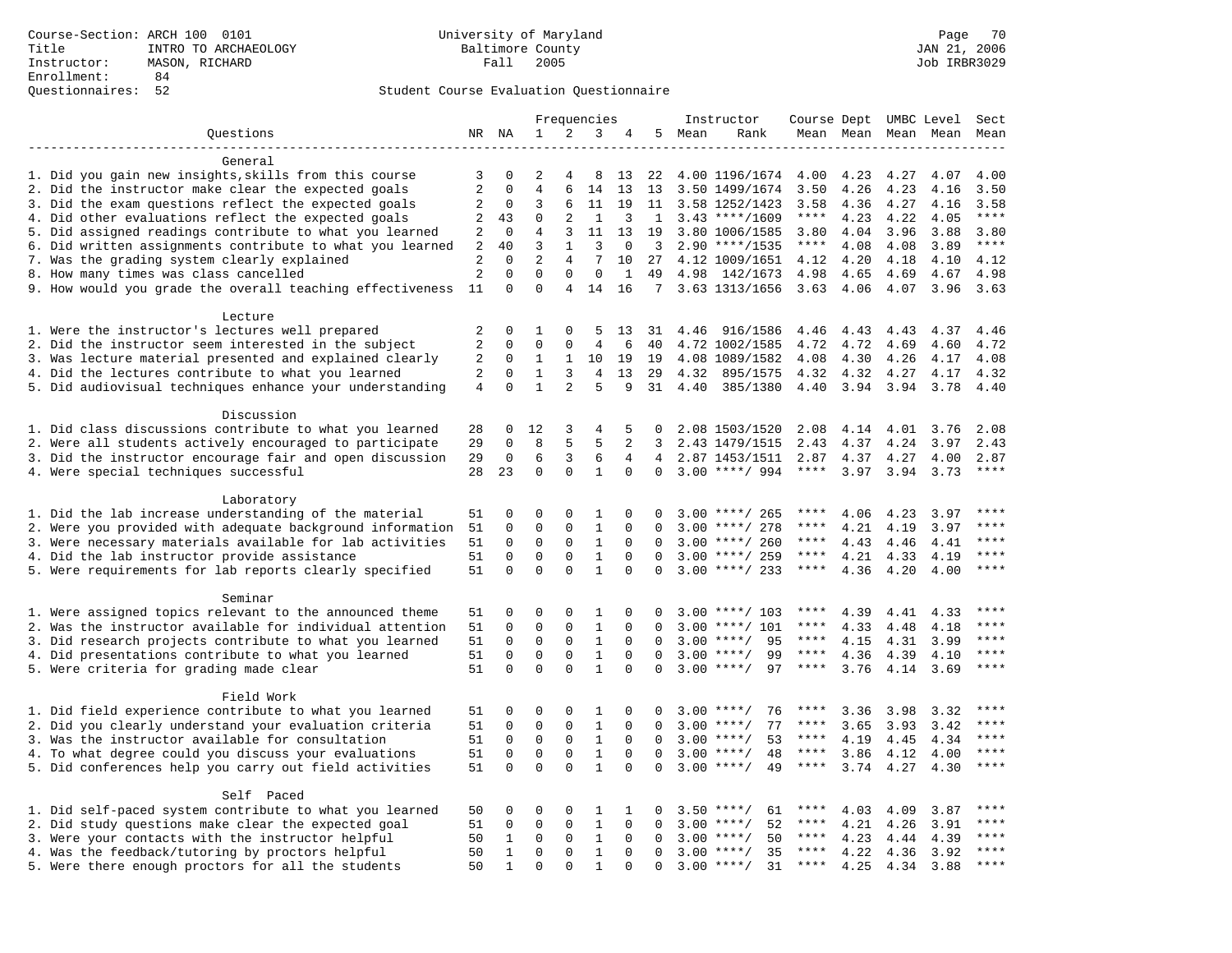## Student Course Evaluation Questionnaire

|                                                                    |                |                          |                         |                | Frequencies    |             |                | Instructor |                    | Course Dept UMBC Level |      |                     |      | Sect        |
|--------------------------------------------------------------------|----------------|--------------------------|-------------------------|----------------|----------------|-------------|----------------|------------|--------------------|------------------------|------|---------------------|------|-------------|
| Questions                                                          |                | NR NA                    | 1                       | 2              | 3              | 4           | 5              | Mean       | Rank               |                        |      | Mean Mean Mean Mean |      | Mean        |
|                                                                    |                |                          |                         |                |                |             |                |            |                    |                        |      |                     |      |             |
| General                                                            |                |                          |                         |                |                |             |                |            |                    |                        |      |                     |      |             |
| 1. Did you gain new insights, skills from this course              | 3              | 0                        | 2                       |                | 8              | 13          | 22             |            | 4.00 1196/1674     | 4.00                   | 4.23 | 4.27                | 4.07 | 4.00        |
| 2. Did the instructor make clear the expected goals                | $\overline{2}$ | $\Omega$                 | $\overline{4}$          | 6              | 14             | 13          | 13             |            | 3.50 1499/1674     | 3.50                   | 4.26 | 4.23                | 4.16 | 3.50        |
| 3. Did the exam questions reflect the expected goals               | 2              | $\mathbf 0$              | 3                       | 6              | 11             | 19          | 11             |            | 3.58 1252/1423     | 3.58                   | 4.36 | 4.27                | 4.16 | 3.58        |
| 4. Did other evaluations reflect the expected goals                | 2              | 43                       | $\Omega$                | 2              | 1              | 3           | 1              |            | $3.43$ ****/1609   | $***$ * *              | 4.23 | 4.22                | 4.05 | $***$       |
| 5. Did assigned readings contribute to what you learned            | $\sqrt{2}$     | $\mathbf 0$              | $\overline{4}$          | 3              | 11             | 13          | 19             |            | 3.80 1006/1585     | 3.80                   | 4.04 | 3.96                | 3.88 | 3.80        |
| 6. Did written assignments contribute to what you learned          | $\overline{2}$ | 40                       | 3                       | $\mathbf{1}$   | 3              | $\mathbf 0$ | $\overline{3}$ |            | $2.90$ ****/1535   | $***$ * * *            | 4.08 | 4.08                | 3.89 | $***$       |
| 7. Was the grading system clearly explained                        | $\overline{2}$ | $\Omega$                 | $\overline{2}$          | $\overline{4}$ | 7              | 10          | 27             |            | 4.12 1009/1651     | 4.12                   | 4.20 | 4.18                | 4.10 | 4.12        |
| 8. How many times was class cancelled                              | $\overline{2}$ | $\mathbf{0}$<br>$\Omega$ | $\mathbf 0$<br>$\Omega$ | $\mathbf 0$    | $\mathbf 0$    | 1           | 49             | 4.98       | 142/1673           | 4.98                   | 4.65 | 4.69                | 4.67 | 4.98        |
| 9. How would you grade the overall teaching effectiveness          | 11             |                          |                         | 4              | 14             | 16          | 7 <sup>7</sup> |            | 3.63 1313/1656     | 3.63                   | 4.06 | 4.07                | 3.96 | 3.63        |
| Lecture                                                            |                |                          |                         |                |                |             |                |            |                    |                        |      |                     |      |             |
| 1. Were the instructor's lectures well prepared                    | $\sqrt{2}$     | $\Omega$                 | 1                       | $\Omega$       | 5              | 13          | 31             | 4.46       | 916/1586           | 4.46                   | 4.43 | 4.43                | 4.37 | 4.46        |
| 2. Did the instructor seem interested in the subject               | $\overline{2}$ | $\mathbf 0$              | $\Omega$                | $\Omega$       | $\overline{4}$ | 6           | 40             |            | 4.72 1002/1585     | 4.72                   | 4.72 | 4.69                | 4.60 | 4.72        |
| 3. Was lecture material presented and explained clearly            | $\sqrt{2}$     | 0                        | 1                       | 1              | 10             | 19          | 19             |            | 4.08 1089/1582     | 4.08                   | 4.30 | 4.26                | 4.17 | 4.08        |
| 4. Did the lectures contribute to what you learned                 | 2              | $\mathbf 0$              | $\mathbf{1}$            | 3              | 4              | 13          | 29             | 4.32       | 895/1575           | 4.32                   | 4.32 | 4.27                | 4.17 | 4.32        |
| 5. Did audiovisual techniques enhance your understanding           | 4              | $\Omega$                 | $\mathbf{1}$            | 2              | 5              | 9           | 31             | 4.40       | 385/1380           | 4.40                   | 3.94 | 3.94                | 3.78 | 4.40        |
|                                                                    |                |                          |                         |                |                |             |                |            |                    |                        |      |                     |      |             |
| Discussion                                                         |                |                          |                         |                |                |             |                |            |                    |                        |      |                     |      |             |
| 1. Did class discussions contribute to what you learned            | 28             | 0                        | 12                      | 3              | 4              | 5           | $\Omega$       |            | 2.08 1503/1520     | 2.08                   | 4.14 | 4.01                | 3.76 | 2.08        |
| 2. Were all students actively encouraged to participate            | 29             | $\Omega$                 | 8                       | 5              | 5              | 2           | 3              |            | 2.43 1479/1515     | 2.43                   | 4.37 | 4.24                | 3.97 | 2.43        |
| 3. Did the instructor encourage fair and open discussion           | 29             | $\mathbf 0$              | 6                       | 3              | 6              | 4           | $\overline{4}$ |            | 2.87 1453/1511     | 2.87                   | 4.37 | 4.27                | 4.00 | 2.87        |
| 4. Were special techniques successful                              | 28             | 23                       | $\mathbf 0$             | $\mathbf 0$    | $\mathbf{1}$   | 0           | $\mathbf{0}$   |            | $3.00$ ****/ 994   | $***$ * * *            | 3.97 | 3.94                | 3.73 | $***$       |
|                                                                    |                |                          |                         |                |                |             |                |            |                    |                        |      |                     |      |             |
| Laboratory                                                         |                |                          |                         |                |                |             |                |            |                    |                        |      |                     |      |             |
| 1. Did the lab increase understanding of the material              | 51             | $\mathbf 0$              | 0                       | 0              | 1              | 0           | $\Omega$       |            | $3.00$ ****/ 265   | ****                   | 4.06 | 4.23                | 3.97 | ****        |
| 2. Were you provided with adequate background information          | 51             | $\mathbf 0$              | $\mathbf 0$             | 0              | $\mathbf{1}$   | 0           | $\Omega$       |            | $3.00$ ****/ 278   | ****                   | 4.21 | 4.19                | 3.97 | ****        |
| 3. Were necessary materials available for lab activities           | 51             | $\mathbf 0$              | $\mathbf 0$             | $\mathbf 0$    | $\mathbf{1}$   | $\Omega$    | $\Omega$       |            | $3.00$ ****/ 260   | $***$ * * *            | 4.43 | 4.46                | 4.41 | ****        |
| 4. Did the lab instructor provide assistance                       | 51             | $\Omega$                 | $\Omega$                | $\Omega$       | $\mathbf{1}$   | $\Omega$    | $\Omega$       |            | $3.00$ ****/ 259   | $***$ * *              | 4.21 | 4.33                | 4.19 | ****        |
| 5. Were requirements for lab reports clearly specified             | 51             | $\mathbf 0$              | $\mathbf 0$             | $\mathbf 0$    | $\mathbf{1}$   | $\mathbf 0$ | $\Omega$       |            | $3.00$ ****/ 233   | $***$ * * *            | 4.36 | 4.20                | 4.00 | ****        |
|                                                                    |                |                          |                         |                |                |             |                |            |                    |                        |      |                     |      |             |
| Seminar<br>1. Were assigned topics relevant to the announced theme | 51             | 0                        | 0                       | $\Omega$       | 1              | $\Omega$    | $\Omega$       |            | $3.00$ ****/ 103   | ****                   | 4.39 | 4.41                | 4.33 | $***$       |
| 2. Was the instructor available for individual attention           | 51             | $\mathbf 0$              | $\mathbf 0$             | $\mathbf 0$    | $\mathbf{1}$   | 0           | $\Omega$       |            | $3.00$ ****/ 101   | ****                   | 4.33 | 4.48                | 4.18 | ****        |
| 3. Did research projects contribute to what you learned            | 51             | $\mathbf 0$              | $\mathbf 0$             | $\mathbf{0}$   | $\mathbf{1}$   | $\mathbf 0$ | $\Omega$       |            | $3.00$ ****/<br>95 | $***$ * *              | 4.15 | 4.31                | 3.99 | ****        |
| 4. Did presentations contribute to what you learned                | 51             | $\Omega$                 | $\mathbf 0$             | $\mathbf 0$    | $\mathbf{1}$   | $\Omega$    | $\Omega$       |            | $3.00$ ****/<br>99 | $***$ * * *            | 4.36 | 4.39                | 4.10 | $***$       |
| 5. Were criteria for grading made clear                            | 51             | $\Omega$                 | $\Omega$                | $\Omega$       | $\mathbf{1}$   | $\Omega$    | $\Omega$       |            | $3.00$ ****/<br>97 | $***$ * *              | 3.76 | 4.14                | 3.69 | $***$       |
|                                                                    |                |                          |                         |                |                |             |                |            |                    |                        |      |                     |      |             |
| Field Work                                                         |                |                          |                         |                |                |             |                |            |                    |                        |      |                     |      |             |
| 1. Did field experience contribute to what you learned             | 51             | $\mathbf 0$              | 0                       | 0              | 1              | 0           | 0              |            | 76<br>$3.00$ ****/ | ****                   | 3.36 | 3.98                | 3.32 | ****        |
| 2. Did you clearly understand your evaluation criteria             | 51             | $\Omega$                 | $\mathbf 0$             | $\Omega$       | $\mathbf{1}$   | $\Omega$    | $\Omega$       |            | $3.00$ ****/<br>77 | ****                   | 3.65 | 3.93                | 3.42 | $***$ * * * |
| 3. Was the instructor available for consultation                   | 51             | $\mathbf 0$              | $\mathbf 0$             | $\mathbf 0$    | $\mathbf{1}$   | $\Omega$    | $\Omega$       |            | $3.00$ ****/<br>53 | ****                   | 4.19 | 4.45                | 4.34 | ****        |
| 4. To what degree could you discuss your evaluations               | 51             | $\mathbf 0$              | $\mathbf 0$             | $\mathbf{0}$   | $\mathbf{1}$   | $\mathbf 0$ | $\Omega$       | 3.00       | $***$ /<br>48      | $***$ * * *            | 3.86 | 4.12                | 4.00 | ****        |
| 5. Did conferences help you carry out field activities             | 51             | $\Omega$                 | $\Omega$                | $\Omega$       | $\mathbf{1}$   | $\Omega$    | $\Omega$       |            | $3.00$ ****/<br>49 | $***$ * * *            | 3.74 | 4.27                | 4.30 | ****        |
|                                                                    |                |                          |                         |                |                |             |                |            |                    |                        |      |                     |      |             |
| Self Paced                                                         |                |                          |                         |                |                |             |                |            |                    |                        |      |                     |      |             |
| 1. Did self-paced system contribute to what you learned            | 50             | 0                        | 0                       | 0              | 1              | 1           | 0              |            | $3.50$ ****/<br>61 |                        | 4.03 | 4.09                | 3.87 | ****        |
| 2. Did study questions make clear the expected goal                | 51             | $\mathbf 0$              | 0                       | $\mathbf{0}$   | $\mathbf{1}$   | 0           | 0              |            | $3.00$ ****/<br>52 | ****                   | 4.21 | 4.26                | 3.91 | ****        |
| 3. Were your contacts with the instructor helpful                  | 50             | $\mathbf{1}$             | $\Omega$                | $\Omega$       | 1              | $\Omega$    | $\Omega$       |            | $3.00$ ****/<br>50 | $***$ * *              | 4.23 | 4.44                | 4.39 | ****        |
| 4. Was the feedback/tutoring by proctors helpful                   | 50             | $\mathbf{1}$             | $\mathbf 0$             | $\mathbf{0}$   | $\mathbf{1}$   | $\Omega$    | $\Omega$       |            | 35<br>$3.00$ ****/ | ****                   | 4.22 | 4.36                | 3.92 | $***$       |
| 5. Were there enough proctors for all the students                 | 50             | $\mathbf{1}$             | $\Omega$                | $\Omega$       | $\mathbf{1}$   | $\Omega$    | $\Omega$       |            | $3.00$ ****/<br>31 | $***$ * *              | 4.25 | 4.34                | 3.88 | $***$       |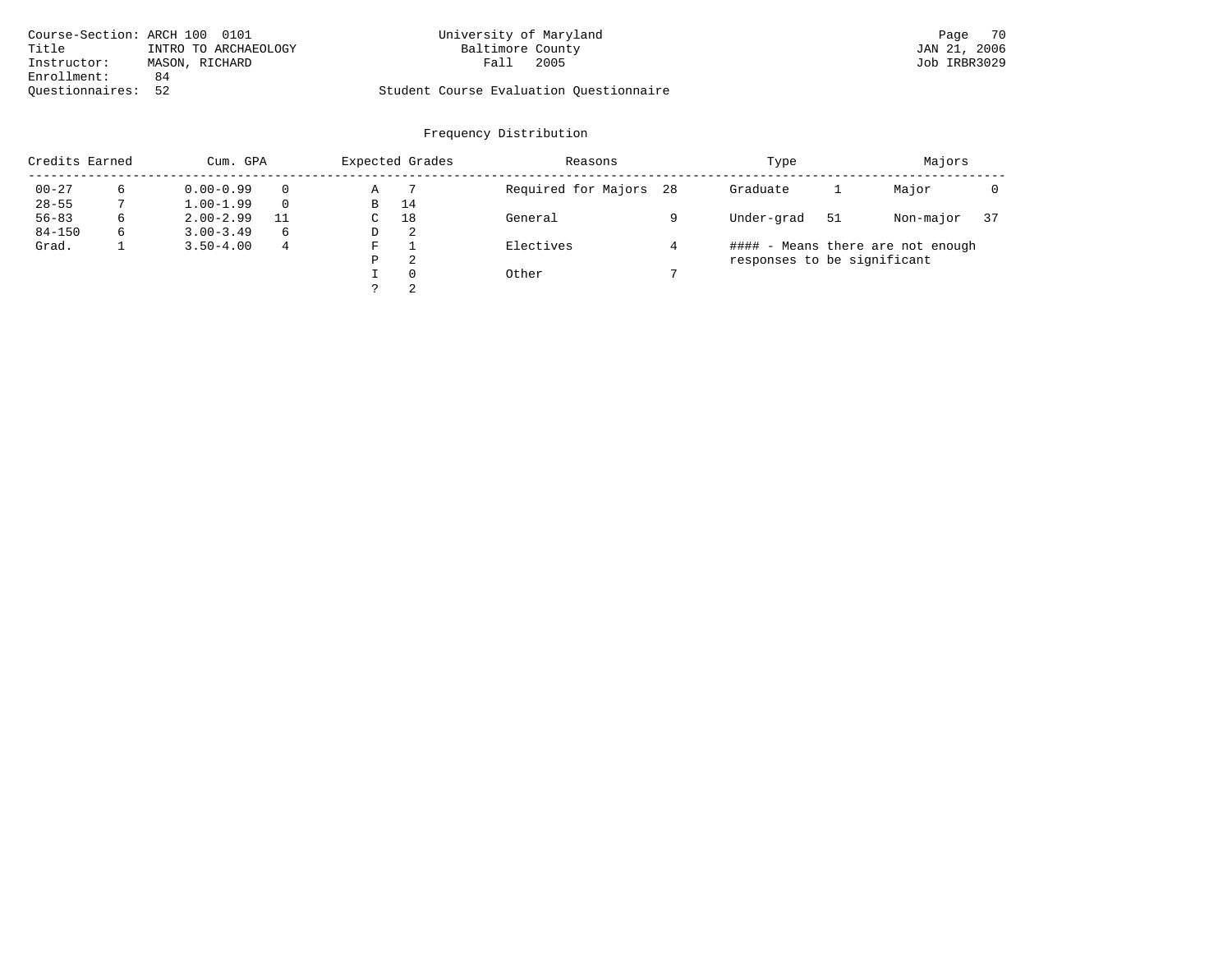| Course-Section: ARCH 100 0101 |                      | University of Maryland                  | Page 70      |
|-------------------------------|----------------------|-----------------------------------------|--------------|
| Title                         | INTRO TO ARCHAEOLOGY | Baltimore County                        | JAN 21, 2006 |
| Instructor:                   | MASON, RICHARD       | 2005<br>Fall                            | Job IRBR3029 |
| Enrollment:                   | 84                   |                                         |              |
| Ouestionnaires: 52            |                      | Student Course Evaluation Ouestionnaire |              |

# Course-Section: ARCH 100 0101 University of Maryland Page 70

# Frequency Distribution

| Credits Earned |   | Cum. GPA      |          | Expected Grades | Reasons  |                     | Type |                             | Majors                            |           |    |  |  |
|----------------|---|---------------|----------|-----------------|----------|---------------------|------|-----------------------------|-----------------------------------|-----------|----|--|--|
| $00 - 27$      |   | $0.00 - 0.99$ | $\Omega$ | Α               |          | Required for Majors | 28   | Graduate                    |                                   | Major     |    |  |  |
| $28 - 55$      |   | $1.00 - 1.99$ | $\Omega$ | B               | 14       |                     |      |                             |                                   |           |    |  |  |
| $56 - 83$      | 6 | $2.00 - 2.99$ | 11       | C               | 18       | General             |      | Under-grad                  | -51                               | Non-major | 37 |  |  |
| $84 - 150$     | 6 | $3.00 - 3.49$ | 6        | D               | -2.      |                     |      |                             |                                   |           |    |  |  |
| Grad.          |   | $3.50 - 4.00$ | 4        | F               |          | Electives           |      |                             | #### - Means there are not enough |           |    |  |  |
|                |   |               |          | P               | 2        |                     |      | responses to be significant |                                   |           |    |  |  |
|                |   |               |          |                 | $\Omega$ | Other               |      |                             |                                   |           |    |  |  |
|                |   |               |          |                 | 2        |                     |      |                             |                                   |           |    |  |  |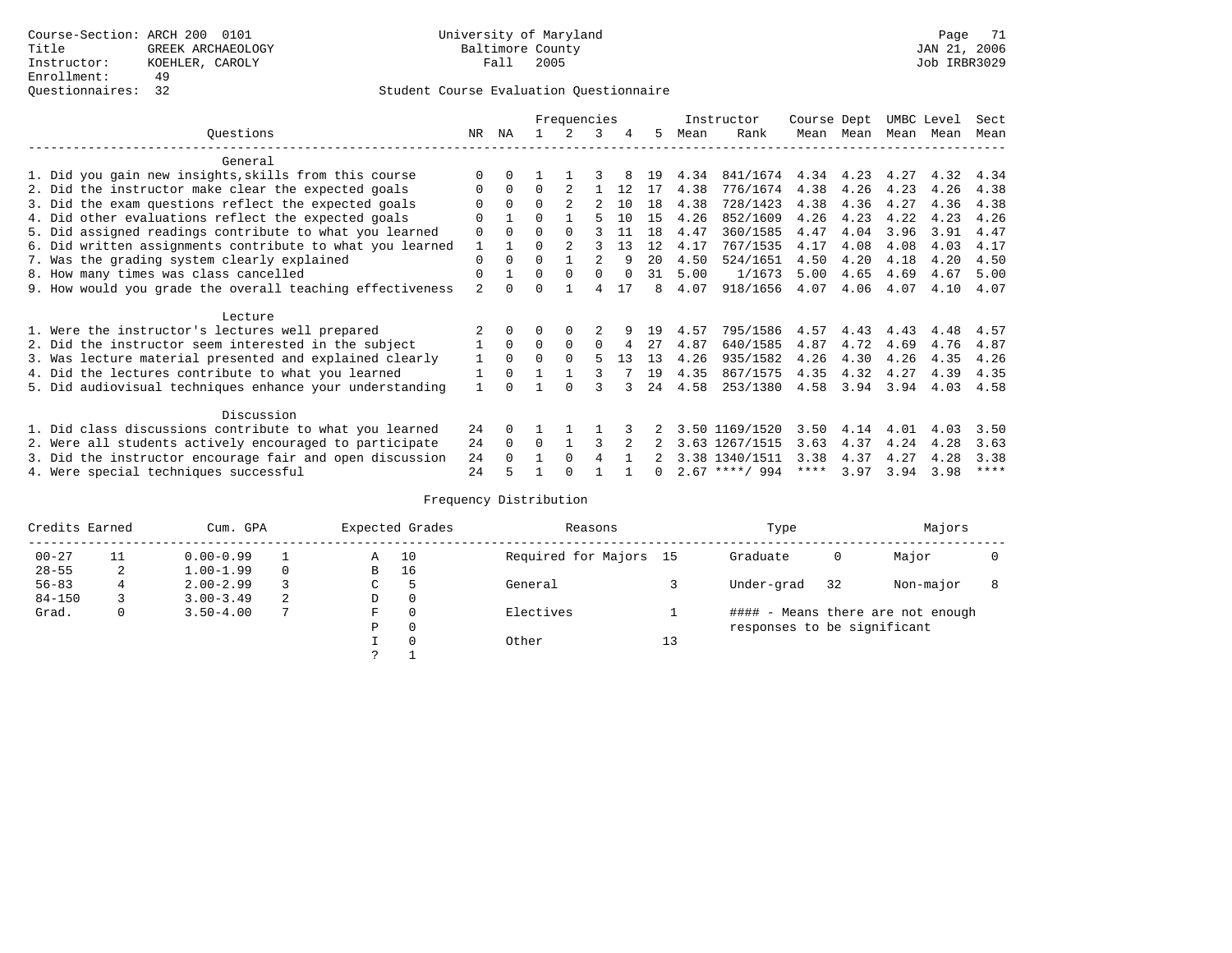## Questionnaires: 32 Student Course Evaluation Questionnaire

|                                                           | Frequencies    |          |          |          |          | Instructor |     | Course Dept |                  | UMBC Level |           | Sect      |      |             |
|-----------------------------------------------------------|----------------|----------|----------|----------|----------|------------|-----|-------------|------------------|------------|-----------|-----------|------|-------------|
| Ouestions                                                 | NR.            | ΝA       |          |          | 3        |            | 5.  | Mean        | Rank             |            | Mean Mean | Mean Mean |      | Mean        |
| General                                                   |                |          |          |          |          |            |     |             |                  |            |           |           |      |             |
| 1. Did you gain new insights, skills from this course     |                |          |          |          |          |            | 19  | 4.34        | 841/1674         | 4.34       | 4.23      | 4.27      | 4.32 | 4.34        |
| 2. Did the instructor make clear the expected goals       | 0              | $\Omega$ | $\Omega$ |          |          | 12         | 17  | 4.38        | 776/1674         | 4.38       | 4.26      | 4.23      | 4.26 | 4.38        |
| 3. Did the exam questions reflect the expected goals      | O              | $\Omega$ | $\Omega$ |          |          | 10         | 1.8 | 4.38        | 728/1423         | 4.38       | 4.36      | 4.27      | 4.36 | 4.38        |
| 4. Did other evaluations reflect the expected goals       | U              |          | $\Omega$ |          |          | 10         | 15  | 4.26        | 852/1609         | 4.26       | 4.23      | 4.22      | 4.23 | 4.26        |
| 5. Did assigned readings contribute to what you learned   | $\mathbf 0$    | $\Omega$ |          |          |          | 11         | 1.8 | 4.47        | 360/1585         | 4.47       | 4.04      | 3.96      | 3.91 | 4.47        |
| 6. Did written assignments contribute to what you learned |                |          | 0        |          |          | 13         | 12  | 4.17        | 767/1535         | 4.17       | 4.08      | 4.08      | 4.03 | 4.17        |
| 7. Was the grading system clearly explained               | $\mathbf 0$    | $\Omega$ | $\Omega$ |          |          | q          | 20  | 4.50        | 524/1651         | 4.50       | 4.20      | 4.18      | 4.20 | 4.50        |
| 8. How many times was class cancelled                     | 0              |          | 0        | $\Omega$ |          |            | 31  | 5.00        | 1/1673           | 5.00       | 4.65      | 4.69      | 4.67 | 5.00        |
| 9. How would you grade the overall teaching effectiveness | $\mathfrak{D}$ |          |          |          | 4        | 17         | 8   | 4.07        | 918/1656         | 4.07       | 4.06      | 4.07      | 4.10 | 4.07        |
| Lecture                                                   |                |          |          |          |          |            |     |             |                  |            |           |           |      |             |
| 1. Were the instructor's lectures well prepared           |                |          |          |          |          |            | 19  | 4.57        | 795/1586         | 4.57       | 4.43      | 4.43      | 4.48 | 4.57        |
| 2. Did the instructor seem interested in the subject      |                | $\Omega$ | $\Omega$ | $\Omega$ | $\Omega$ |            | 27  | 4.87        | 640/1585         | 4.87       | 4.72      | 4.69      | 4.76 | 4.87        |
| 3. Was lecture material presented and explained clearly   | 1              | $\Omega$ | 0        |          |          | 13         | 13  | 4.26        | 935/1582         | 4.26       | 4.30      | 4.26      | 4.35 | 4.26        |
| 4. Did the lectures contribute to what you learned        |                | $\Omega$ |          |          |          |            | 19  | 4.35        | 867/1575         | 4.35       | 4.32      | 4.27      | 4.39 | 4.35        |
| 5. Did audiovisual techniques enhance your understanding  |                |          |          |          |          |            | 24  | 4.58        | 253/1380         | 4.58       | 3.94      | 3.94      | 4.03 | 4.58        |
| Discussion                                                |                |          |          |          |          |            |     |             |                  |            |           |           |      |             |
| 1. Did class discussions contribute to what you learned   | 24             | $\Omega$ |          |          |          |            |     |             | 3.50 1169/1520   | 3.50       | 4.14      | 4.01      | 4.03 | 3.50        |
| 2. Were all students actively encouraged to participate   | 24             | $\Omega$ | $\Omega$ |          |          |            |     |             | 3.63 1267/1515   | 3.63       | 4.37      | 4.24      | 4.28 | 3.63        |
| 3. Did the instructor encourage fair and open discussion  | 24             | $\Omega$ |          | $\Omega$ | 4        |            |     |             | 3.38 1340/1511   | 3.38       | 4.37      | 4.27      | 4.28 | 3.38        |
| 4. Were special techniques successful                     | 2.4            |          |          |          |          |            | 0   |             | $2.67$ ****/ 994 | ****       | 3.97      | 3.94      | 3.98 | $***$ * * * |

# Frequency Distribution

| Credits Earned |    | Cum. GPA      |   | Expected Grades | Reasons  |                        | Type |                             | Majors                            |           |  |  |  |
|----------------|----|---------------|---|-----------------|----------|------------------------|------|-----------------------------|-----------------------------------|-----------|--|--|--|
| $00 - 27$      | 11 | $0.00 - 0.99$ |   | Α               | 10       | Required for Majors 15 |      | Graduate                    | 0                                 | Major     |  |  |  |
| $28 - 55$      | 2  | $1.00 - 1.99$ |   | B               | 16       |                        |      |                             |                                   |           |  |  |  |
| $56 - 83$      |    | $2.00 - 2.99$ |   | $\sim$<br>◡     |          | General                |      | Under-grad                  | 32                                | Non-major |  |  |  |
| $84 - 150$     |    | $3.00 - 3.49$ | 2 | D               | 0        |                        |      |                             |                                   |           |  |  |  |
| Grad.          | 0  | $3.50 - 4.00$ | 7 | F               | 0        | Electives              |      |                             | #### - Means there are not enough |           |  |  |  |
|                |    |               |   | Ρ               | 0        |                        |      | responses to be significant |                                   |           |  |  |  |
|                |    |               |   |                 | $\Omega$ | Other                  | 13   |                             |                                   |           |  |  |  |
|                |    |               |   | C               |          |                        |      |                             |                                   |           |  |  |  |